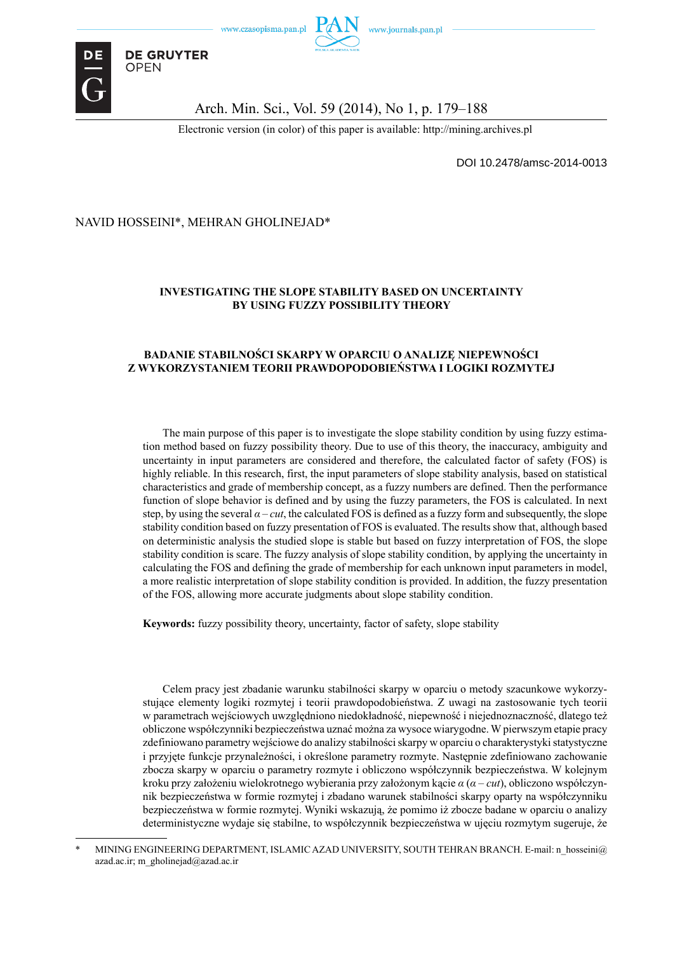

### Arch. Min. Sci., Vol. 59 (2014), No 1, p. 179–188

Electronic version (in color) of this paper is available: http://mining.archives.pl

DOI 10.2478/amsc-2014-0013

### NAVID HOSSEINI\*, MEHRAN GHOLINEJAD\*

**DE GRUYTER OPEN** 

### **INVESTIGATING THE SLOPE STABILITY BASED ON UNCERTAINTY BY USING FUZZY POSSIBILITY THEORY**

#### **BADANIE STABILNOŚCI SKARPY W OPARCIU O ANALIZĘ NIEPEWNOŚCI Z WYKORZYSTANIEM TEORII PRAWDOPODOBIEŃSTWA I LOGIKI ROZMYTEJ**

The main purpose of this paper is to investigate the slope stability condition by using fuzzy estimation method based on fuzzy possibility theory. Due to use of this theory, the inaccuracy, ambiguity and uncertainty in input parameters are considered and therefore, the calculated factor of safety (FOS) is highly reliable. In this research, first, the input parameters of slope stability analysis, based on statistical characteristics and grade of membership concept, as a fuzzy numbers are defined. Then the performance function of slope behavior is defined and by using the fuzzy parameters, the FOS is calculated. In next step, by using the several  $\alpha - cut$ , the calculated FOS is defined as a fuzzy form and subsequently, the slope stability condition based on fuzzy presentation of FOS is evaluated. The results show that, although based on deterministic analysis the studied slope is stable but based on fuzzy interpretation of FOS, the slope stability condition is scare. The fuzzy analysis of slope stability condition, by applying the uncertainty in calculating the FOS and defining the grade of membership for each unknown input parameters in model, a more realistic interpretation of slope stability condition is provided. In addition, the fuzzy presentation of the FOS, allowing more accurate judgments about slope stability condition.

**Keywords:** fuzzy possibility theory, uncertainty, factor of safety, slope stability

Celem pracy jest zbadanie warunku stabilności skarpy w oparciu o metody szacunkowe wykorzystujące elementy logiki rozmytej i teorii prawdopodobieństwa. Z uwagi na zastosowanie tych teorii w parametrach wejściowych uwzględniono niedokładność, niepewność i niejednoznaczność, dlatego też obliczone współczynniki bezpieczeństwa uznać można za wysoce wiarygodne. W pierwszym etapie pracy zdefiniowano parametry wejściowe do analizy stabilności skarpy w oparciu o charakterystyki statystyczne i przyjęte funkcje przynależności, i określone parametry rozmyte. Następnie zdefiniowano zachowanie zbocza skarpy w oparciu o parametry rozmyte i obliczono współczynnik bezpieczeństwa. W kolejnym kroku przy założeniu wielokrotnego wybierania przy założonym kącie *α* (*α* – *cut*), obliczono współczynnik bezpieczeństwa w formie rozmytej i zbadano warunek stabilności skarpy oparty na współczynniku bezpieczeństwa w formie rozmytej. Wyniki wskazują, że pomimo iż zbocze badane w oparciu o analizy deterministyczne wydaje się stabilne, to współczynnik bezpieczeństwa w ujęciu rozmytym sugeruje, że

MINING ENGINEERING DEPARTMENT, ISLAMIC AZAD UNIVERSITY, SOUTH TEHRAN BRANCH. E-mail: n\_hosseini@ azad.ac.ir; m\_gholinejad@azad.ac.ir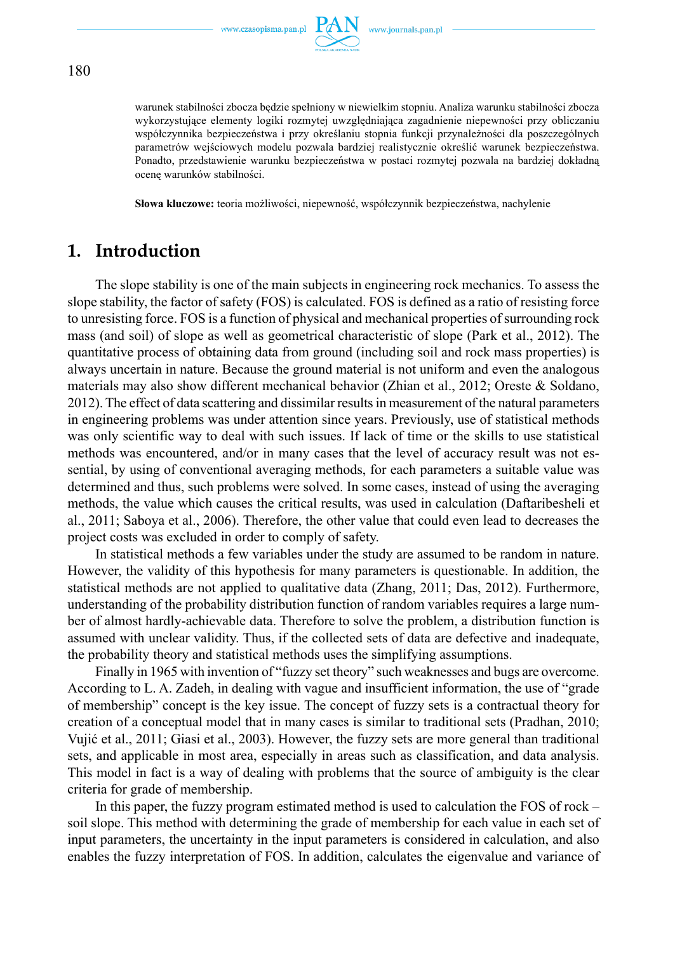

warunek stabilności zbocza będzie spełniony w niewielkim stopniu. Analiza warunku stabilności zbocza wykorzystujące elementy logiki rozmytej uwzględniająca zagadnienie niepewności przy obliczaniu współczynnika bezpieczeństwa i przy określaniu stopnia funkcji przynależności dla poszczególnych parametrów wejściowych modelu pozwala bardziej realistycznie określić warunek bezpieczeństwa. Ponadto, przedstawienie warunku bezpieczeństwa w postaci rozmytej pozwala na bardziej dokładną ocenę warunków stabilności.

**Słowa kluczowe:** teoria możliwości, niepewność, współczynnik bezpieczeństwa, nachylenie

# **1. Introduction**

The slope stability is one of the main subjects in engineering rock mechanics. To assess the slope stability, the factor of safety (FOS) is calculated. FOS is defined as a ratio of resisting force to unresisting force. FOS is a function of physical and mechanical properties of surrounding rock mass (and soil) of slope as well as geometrical characteristic of slope (Park et al., 2012). The quantitative process of obtaining data from ground (including soil and rock mass properties) is always uncertain in nature. Because the ground material is not uniform and even the analogous materials may also show different mechanical behavior (Zhian et al., 2012; Oreste & Soldano, 2012). The effect of data scattering and dissimilar results in measurement of the natural parameters in engineering problems was under attention since years. Previously, use of statistical methods was only scientific way to deal with such issues. If lack of time or the skills to use statistical methods was encountered, and/or in many cases that the level of accuracy result was not essential, by using of conventional averaging methods, for each parameters a suitable value was determined and thus, such problems were solved. In some cases, instead of using the averaging methods, the value which causes the critical results, was used in calculation (Daftaribesheli et al., 2011; Saboya et al., 2006). Therefore, the other value that could even lead to decreases the project costs was excluded in order to comply of safety.

In statistical methods a few variables under the study are assumed to be random in nature. However, the validity of this hypothesis for many parameters is questionable. In addition, the statistical methods are not applied to qualitative data (Zhang, 2011; Das, 2012). Furthermore, understanding of the probability distribution function of random variables requires a large number of almost hardly-achievable data. Therefore to solve the problem, a distribution function is assumed with unclear validity. Thus, if the collected sets of data are defective and inadequate, the probability theory and statistical methods uses the simplifying assumptions.

Finally in 1965 with invention of "fuzzy set theory" such weaknesses and bugs are overcome. According to L. A. Zadeh, in dealing with vague and insufficient information, the use of "grade of membership" concept is the key issue. The concept of fuzzy sets is a contractual theory for creation of a conceptual model that in many cases is similar to traditional sets (Pradhan, 2010; Vujić et al., 2011; Giasi et al., 2003). However, the fuzzy sets are more general than traditional sets, and applicable in most area, especially in areas such as classification, and data analysis. This model in fact is a way of dealing with problems that the source of ambiguity is the clear criteria for grade of membership.

In this paper, the fuzzy program estimated method is used to calculation the FOS of rock – soil slope. This method with determining the grade of membership for each value in each set of input parameters, the uncertainty in the input parameters is considered in calculation, and also enables the fuzzy interpretation of FOS. In addition, calculates the eigenvalue and variance of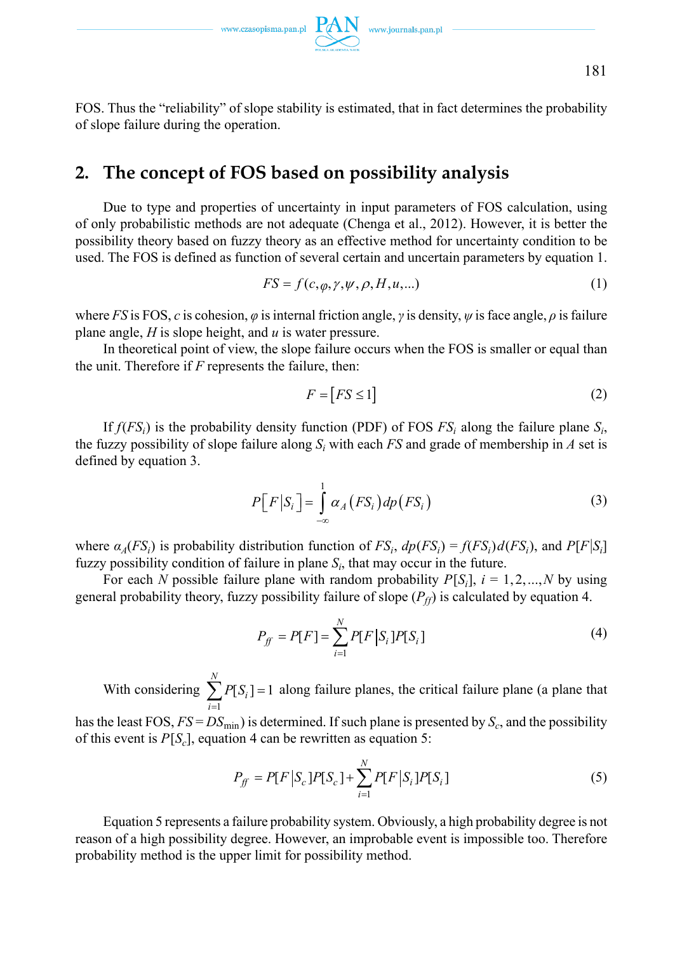FOS. Thus the "reliability" of slope stability is estimated, that in fact determines the probability of slope failure during the operation.

# **2. The concept of FOS based on possibility analysis**

Due to type and properties of uncertainty in input parameters of FOS calculation, using of only probabilistic methods are not adequate (Chenga et al., 2012). However, it is better the possibility theory based on fuzzy theory as an effective method for uncertainty condition to be used. The FOS is defined as function of several certain and uncertain parameters by equation 1.

$$
FS = f(c, \varphi, \gamma, \psi, \rho, H, u, \ldots) \tag{1}
$$

where *FS* is FOS, *c* is cohesion,  $\varphi$  is internal friction angle,  $\gamma$  is density,  $\psi$  is face angle,  $\rho$  is failure plane angle, *H* is slope height, and *u* is water pressure.

In theoretical point of view, the slope failure occurs when the FOS is smaller or equal than the unit. Therefore if *F* represents the failure, then:

$$
F = [FS \le 1] \tag{2}
$$

If  $f(FS_i)$  is the probability density function (PDF) of FOS  $FS_i$  along the failure plane  $S_i$ , the fuzzy possibility of slope failure along  $S_i$  with each  $FS$  and grade of membership in  $A$  set is defined by equation 3.

$$
P\big[F\big|S_i\big] = \int_{-\infty}^{1} \alpha_A \big(FS_i\big) dp\big(FS_i\big) \tag{3}
$$

where  $\alpha_A(FS_i)$  is probability distribution function of  $FS_i$ ,  $dp(FS_i) = f(FS_i)d(FS_i)$ , and  $P[F|S_i]$ fuzzy possibility condition of failure in plane  $S_i$ , that may occur in the future.

For each *N* possible failure plane with random probability  $P[S_i]$ ,  $i = 1, 2, ..., N$  by using general probability theory, fuzzy possibility failure of slope  $(P_f)$  is calculated by equation 4.

$$
P_{ff} = P[F] = \sum_{i=1}^{N} P[F|S_i]P[S_i]
$$
\n(4)

With considering 1  $[S_i] = 1$ *N i i P S*  $\sum_{i=1} P[S_i] = 1$  along failure planes, the critical failure plane (a plane that

has the least FOS,  $FS = DS_{min}$ ) is determined. If such plane is presented by  $S_c$ , and the possibility of this event is  $P[S_c]$ , equation 4 can be rewritten as equation 5:

$$
P_{ff} = P[F|S_c]P[S_c] + \sum_{i=1}^{N} P[F|S_i]P[S_i]
$$
\n(5)

Equation 5 represents a failure probability system. Obviously, a high probability degree is not reason of a high possibility degree. However, an improbable event is impossible too. Therefore probability method is the upper limit for possibility method.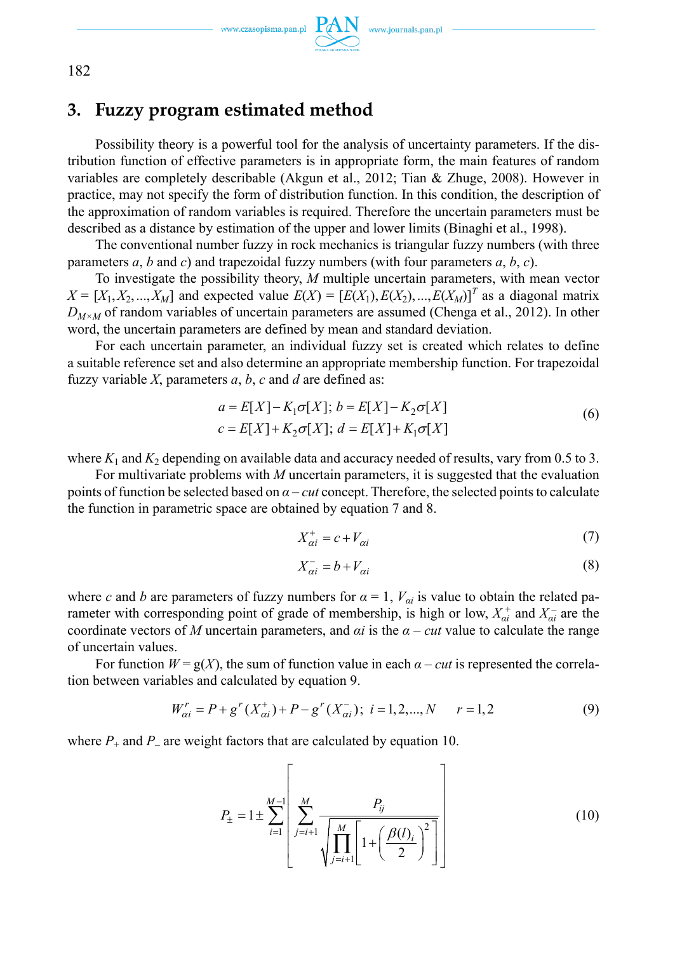

182

# **3. Fuzzy program estimated method**

Possibility theory is a powerful tool for the analysis of uncertainty parameters. If the distribution function of effective parameters is in appropriate form, the main features of random variables are completely describable (Akgun et al., 2012; Tian & Zhuge, 2008). However in practice, may not specify the form of distribution function. In this condition, the description of the approximation of random variables is required. Therefore the uncertain parameters must be described as a distance by estimation of the upper and lower limits (Binaghi et al., 1998).

The conventional number fuzzy in rock mechanics is triangular fuzzy numbers (with three parameters *a*, *b* and *c*) and trapezoidal fuzzy numbers (with four parameters *a*, *b*, *c*).

To investigate the possibility theory, *M* multiple uncertain parameters, with mean vector  $X = [X_1, X_2, \ldots, X_M]$  and expected value  $E(X) = [E(X_1), E(X_2), \ldots, E(X_M)]^T$  as a diagonal matrix  $D_{M \times M}$  of random variables of uncertain parameters are assumed (Chenga et al., 2012). In other word, the uncertain parameters are defined by mean and standard deviation.

For each uncertain parameter, an individual fuzzy set is created which relates to define a suitable reference set and also determine an appropriate membership function. For trapezoidal fuzzy variable  $X$ , parameters  $a$ ,  $b$ ,  $c$  and  $d$  are defined as:

$$
a = E[X] - K_1 \sigma[X]; b = E[X] - K_2 \sigma[X]
$$
  
\n
$$
c = E[X] + K_2 \sigma[X]; d = E[X] + K_1 \sigma[X]
$$
\n(6)

where  $K_1$  and  $K_2$  depending on available data and accuracy needed of results, vary from 0.5 to 3.

For multivariate problems with *M* uncertain parameters, it is suggested that the evaluation points of function be selected based on *α* – *cut* concept. Therefore, the selected points to calculate the function in parametric space are obtained by equation 7 and 8.

$$
X_{\alpha i}^+ = c + V_{\alpha i} \tag{7}
$$

$$
X_{\alpha i}^- = b + V_{\alpha i} \tag{8}
$$

where *c* and *b* are parameters of fuzzy numbers for  $\alpha = 1$ ,  $V_{ai}$  is value to obtain the related parameter with corresponding point of grade of membership, is high or low,  $X_{ai}^+$  and  $X_{ai}^-$  are the coordinate vectors of *M* uncertain parameters, and  $\alpha i$  is the  $\alpha$  – *cut* value to calculate the range of uncertain values.

For function  $W = g(X)$ , the sum of function value in each  $\alpha - cut$  is represented the correlation between variables and calculated by equation 9.

$$
W_{\alpha i}^r = P + g^r(X_{\alpha i}^+) + P - g^r(X_{\alpha i}^-); \ i = 1, 2, ..., N \qquad r = 1, 2 \tag{9}
$$

where  $P_+$  and  $P_-$  are weight factors that are calculated by equation 10.

$$
P_{\pm} = 1 \pm \sum_{i=1}^{M-1} \left[ \sum_{j=i+1}^{M} \frac{P_{ij}}{\sqrt{\prod_{j=i+1}^{M} \left[ 1 + \left( \frac{\beta(l)_i}{2} \right)^2 \right]}} \right]
$$
(10)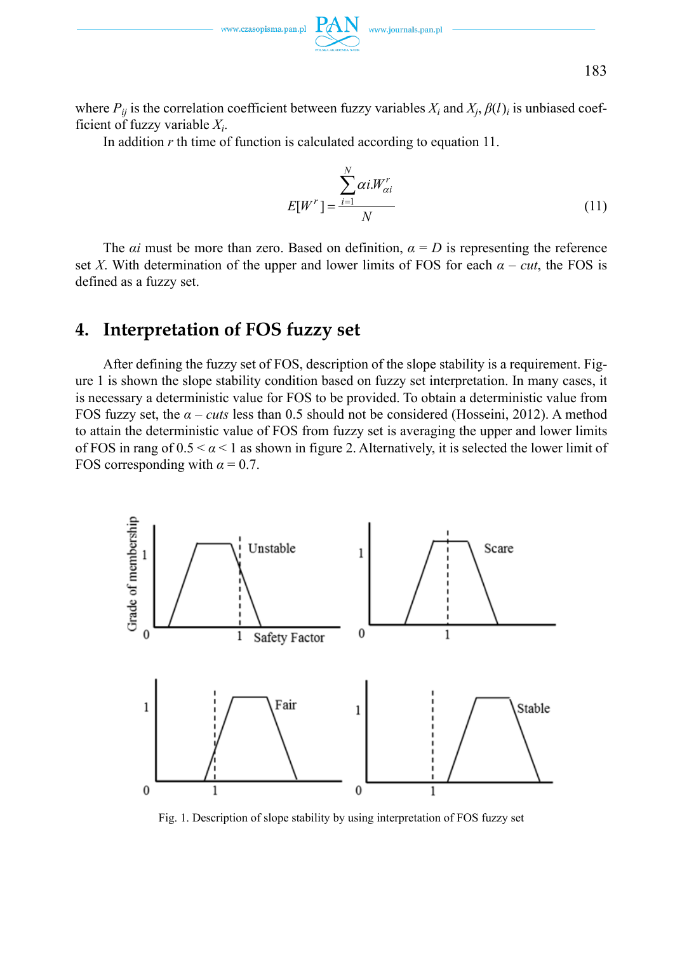

183

where  $P_{ij}$  is the correlation coefficient between fuzzy variables  $X_i$  and  $X_j$ ,  $\beta(l)_i$  is unbiased coefficient of fuzzy variable  $X_i$ .

In addition *r* th time of function is calculated according to equation 11.

$$
E[W^r] = \frac{\sum_{i=1}^N \alpha i W_{\alpha i}^r}{N}
$$
\n(11)

The *αi* must be more than zero. Based on definition,  $\alpha = D$  is representing the reference set *X*. With determination of the upper and lower limits of FOS for each  $\alpha - cut$ , the FOS is defined as a fuzzy set.

# **4. Interpretation of FOS fuzzy set**

After defining the fuzzy set of FOS, description of the slope stability is a requirement. Figure 1 is shown the slope stability condition based on fuzzy set interpretation. In many cases, it is necessary a deterministic value for FOS to be provided. To obtain a deterministic value from FOS fuzzy set, the  $\alpha$  – *cuts* less than 0.5 should not be considered (Hosseini, 2012). A method to attain the deterministic value of FOS from fuzzy set is averaging the upper and lower limits of FOS in rang of  $0.5 < \alpha < 1$  as shown in figure 2. Alternatively, it is selected the lower limit of FOS corresponding with  $\alpha = 0.7$ .



Fig. 1. Description of slope stability by using interpretation of FOS fuzzy set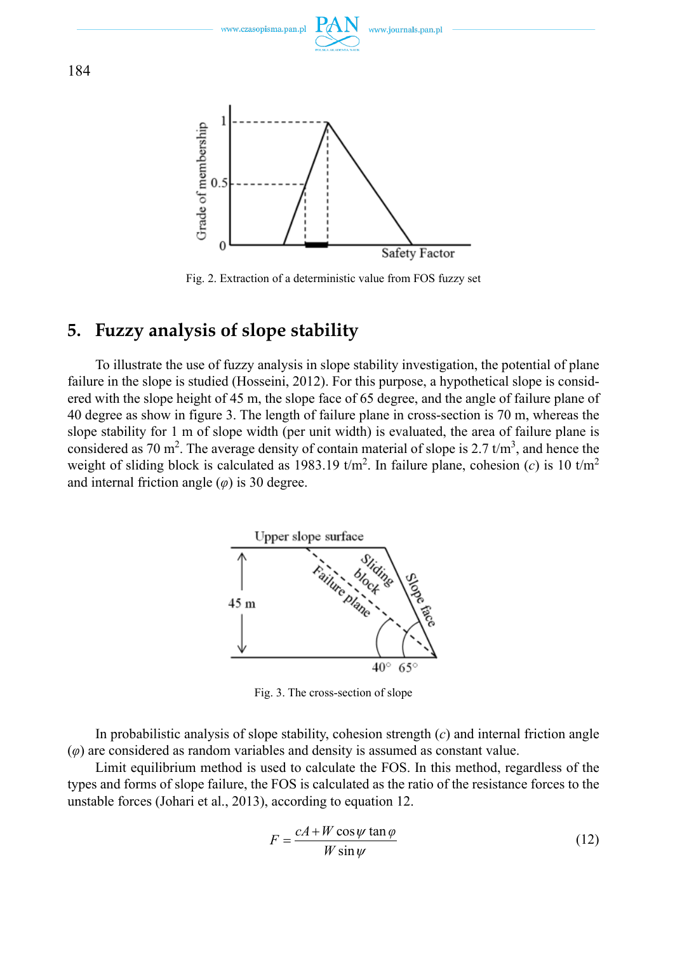

Fig. 2. Extraction of a deterministic value from FOS fuzzy set

# **5. Fuzzy analysis of slope stability**

To illustrate the use of fuzzy analysis in slope stability investigation, the potential of plane failure in the slope is studied (Hosseini, 2012). For this purpose, a hypothetical slope is considered with the slope height of 45 m, the slope face of 65 degree, and the angle of failure plane of 40 degree as show in figure 3. The length of failure plane in cross-section is 70 m, whereas the slope stability for 1 m of slope width (per unit width) is evaluated, the area of failure plane is considered as 70 m<sup>2</sup>. The average density of contain material of slope is 2.7  $t/m<sup>3</sup>$ , and hence the weight of sliding block is calculated as 1983.19  $t/m^2$ . In failure plane, cohesion (*c*) is 10  $t/m^2$ and internal friction angle  $(\varphi)$  is 30 degree.



Fig. 3. The cross-section of slope

In probabilistic analysis of slope stability, cohesion strength (*c*) and internal friction angle (*φ*) are considered as random variables and density is assumed as constant value.

Limit equilibrium method is used to calculate the FOS. In this method, regardless of the types and forms of slope failure, the FOS is calculated as the ratio of the resistance forces to the unstable forces (Johari et al., 2013), according to equation 12.

$$
F = \frac{cA + W\cos\psi\tan\varphi}{W\sin\psi}
$$
 (12)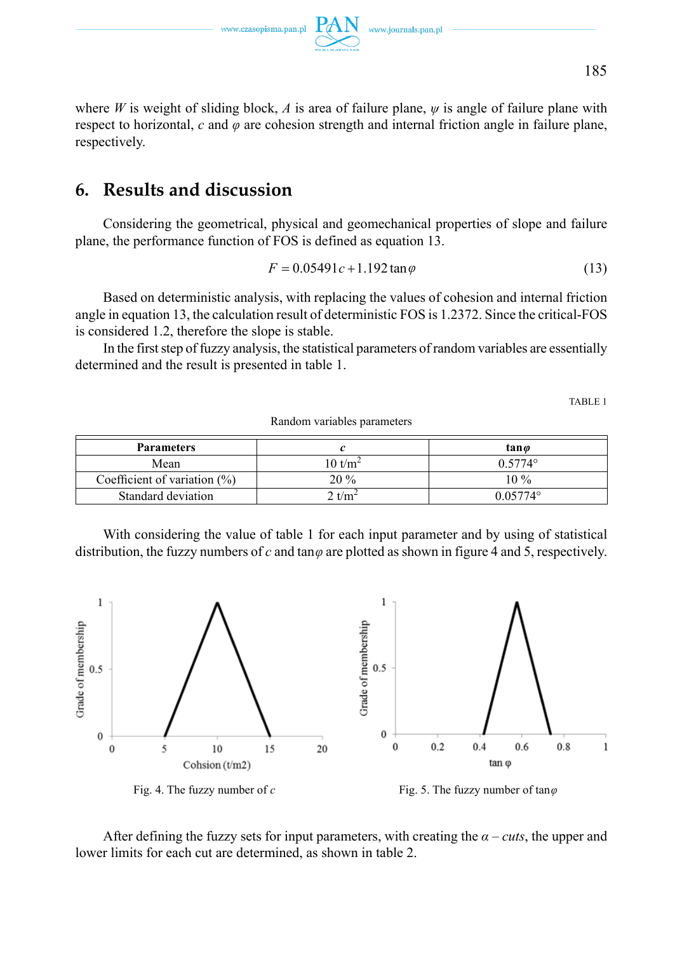www.czasopisma.pan.pl

where *W* is weight of sliding block, *A* is area of failure plane, *ψ* is angle of failure plane with respect to horizontal, *c* and *φ* are cohesion strength and internal friction angle in failure plane, respectively.

# **6. Results and discussion**

Considering the geometrical, physical and geomechanical properties of slope and failure plane, the performance function of FOS is defined as equation 13.

$$
F = 0.05491c + 1.192\tan\varphi\tag{13}
$$

Based on deterministic analysis, with replacing the values of cohesion and internal friction angle in equation 13, the calculation result of deterministic FOS is 1.2372. Since the critical-FOS is considered 1.2, therefore the slope is stable.

In the first step of fuzzy analysis, the statistical parameters of random variables are essentially determined and the result is presented in table 1.

TABLE 1

| <b>Parameters</b>               |                    | tan <i>o</i>      |
|---------------------------------|--------------------|-------------------|
| Mean                            | $10 \text{ t/m}^2$ | $0.5774^{\circ}$  |
| Coefficient of variation $(\%)$ | $20\%$             | $10\%$            |
| Standard deviation              | ' $t/m^2$          | $0.05774^{\circ}$ |

Random variables parameters

With considering the value of table 1 for each input parameter and by using of statistical distribution, the fuzzy numbers of *c* and tan*φ* are plotted as shown in figure 4 and 5, respectively.



After defining the fuzzy sets for input parameters, with creating the  $\alpha$  – *cuts*, the upper and lower limits for each cut are determined, as shown in table 2.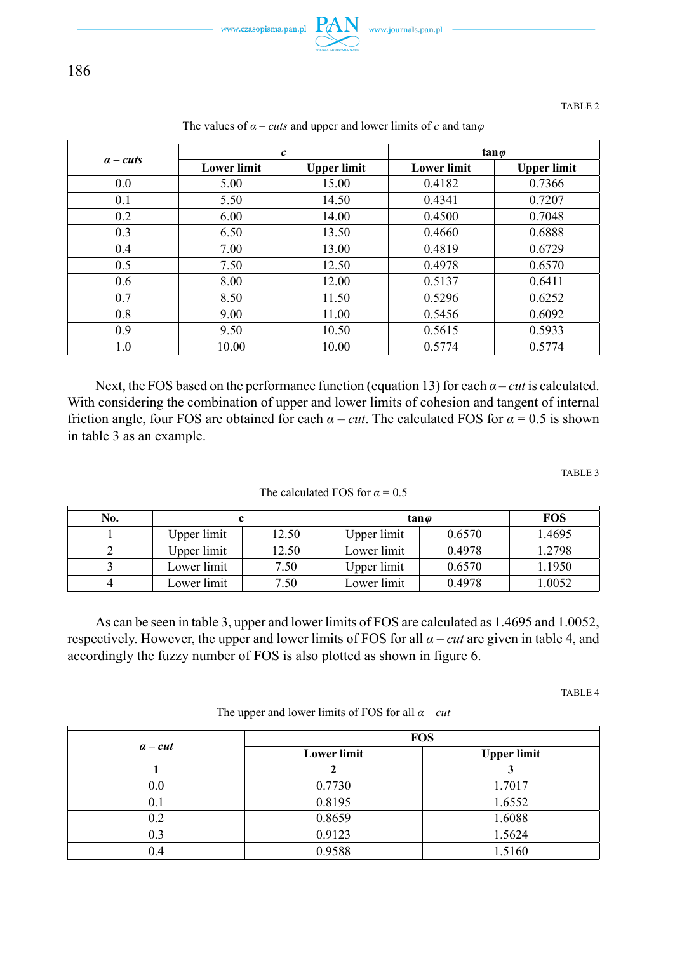

TABLE 2

|            | $\boldsymbol{c}$   |                    | $tan \varphi$      |                    |
|------------|--------------------|--------------------|--------------------|--------------------|
| $a - cuts$ | <b>Lower limit</b> | <b>Upper limit</b> | <b>Lower limit</b> | <b>Upper limit</b> |
| 0.0        | 5.00               | 15.00              | 0.4182             | 0.7366             |
| 0.1        | 5.50               | 14.50              | 0.4341             | 0.7207             |
| 0.2        | 6.00               | 14.00              | 0.4500             | 0.7048             |
| 0.3        | 6.50               | 13.50              | 0.4660             | 0.6888             |
| 0.4        | 7.00               | 13.00              | 0.4819             | 0.6729             |
| 0.5        | 7.50               | 12.50              | 0.4978             | 0.6570             |
| 0.6        | 8.00               | 12.00              | 0.5137             | 0.6411             |
| 0.7        | 8.50               | 11.50              | 0.5296             | 0.6252             |
| 0.8        | 9.00               | 11.00              | 0.5456             | 0.6092             |
| 0.9        | 9.50               | 10.50              | 0.5615             | 0.5933             |
| 1.0        | 10.00              | 10.00              | 0.5774             | 0.5774             |

The values of  $\alpha$  – *cuts* and upper and lower limits of *c* and tan $\varphi$ 

Next, the FOS based on the performance function (equation 13) for each  $\alpha$  – *cut* is calculated. With considering the combination of upper and lower limits of cohesion and tangent of internal friction angle, four FOS are obtained for each  $\alpha - cut$ . The calculated FOS for  $\alpha = 0.5$  is shown in table 3 as an example.

TABLE 3

| No. |             |       |             | tan <i>o</i> | <b>FOS</b> |
|-----|-------------|-------|-------------|--------------|------------|
|     | Upper limit | 12.50 | Upper limit | 0.6570       | 1.4695     |
|     | Upper limit | 12.50 | Lower limit | 0.4978       | 1.2798     |
|     | Lower limit | 7.50  | Upper limit | 0.6570       | l.1950     |
|     | Lower limit | 7.50  | Lower limit | 0.4978       | 1.0052     |

The calculated FOS for  $\alpha = 0.5$ 

As can be seen in table 3, upper and lower limits of FOS are calculated as 1.4695 and 1.0052, respectively. However, the upper and lower limits of FOS for all *α* – *cut* are given in table 4, and accordingly the fuzzy number of FOS is also plotted as shown in figure 6.

TABLE 4

The upper and lower limits of FOS for all  $\alpha$  – *cut* 

| $a$ – cut | <b>FOS</b>         |                    |  |
|-----------|--------------------|--------------------|--|
|           | <b>Lower limit</b> | <b>Upper limit</b> |  |
|           |                    |                    |  |
| 0.0       | 0.7730             | 1.7017             |  |
| 0.1       | 0.8195             | 1.6552             |  |
| 0.2       | 0.8659             | 1.6088             |  |
| 0.3       | 0.9123             | 1.5624             |  |
| 0.4       | 0.9588             | 1.5160             |  |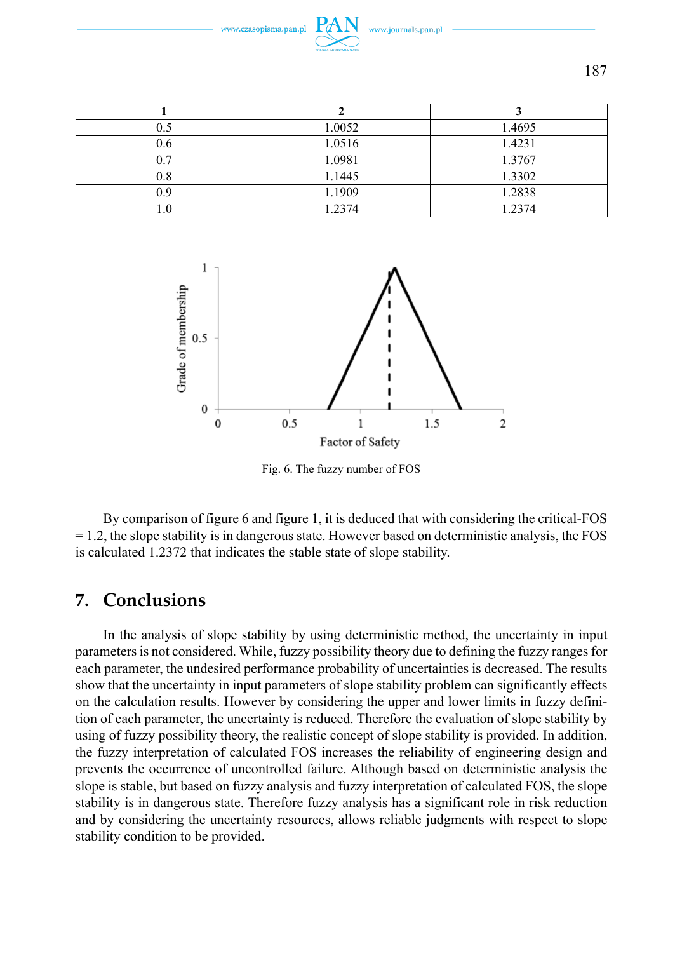

| 0.5        | 1.0052 | 1.4695 |
|------------|--------|--------|
| 0.6        | 1.0516 | 1.4231 |
| 0.7        | 1.0981 | 1.3767 |
| 0.8        | 1.1445 | 1.3302 |
| 0 9        | 1.1909 | 1.2838 |
| $\cdot$ .0 | 1.2374 | 1.2374 |



Fig. 6. The fuzzy number of FOS

By comparison of figure 6 and figure 1, it is deduced that with considering the critical-FOS  $= 1.2$ , the slope stability is in dangerous state. However based on deterministic analysis, the FOS is calculated 1.2372 that indicates the stable state of slope stability.

# **7. Conclusions**

In the analysis of slope stability by using deterministic method, the uncertainty in input parameters is not considered. While, fuzzy possibility theory due to defining the fuzzy ranges for each parameter, the undesired performance probability of uncertainties is decreased. The results show that the uncertainty in input parameters of slope stability problem can significantly effects on the calculation results. However by considering the upper and lower limits in fuzzy definition of each parameter, the uncertainty is reduced. Therefore the evaluation of slope stability by using of fuzzy possibility theory, the realistic concept of slope stability is provided. In addition, the fuzzy interpretation of calculated FOS increases the reliability of engineering design and prevents the occurrence of uncontrolled failure. Although based on deterministic analysis the slope is stable, but based on fuzzy analysis and fuzzy interpretation of calculated FOS, the slope stability is in dangerous state. Therefore fuzzy analysis has a significant role in risk reduction and by considering the uncertainty resources, allows reliable judgments with respect to slope stability condition to be provided.